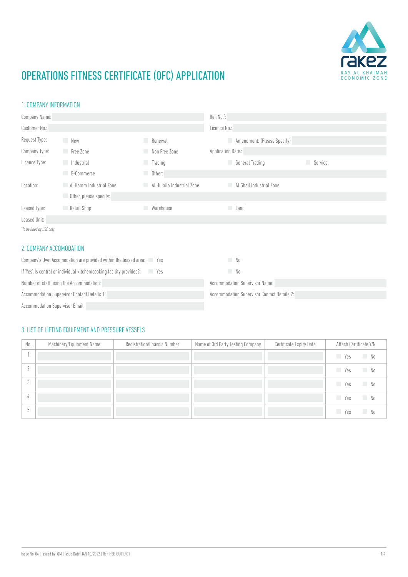

### 1. COMPANY INFORMATION

| Company Name:             |                          |                                  | Ref. No.":                  |         |
|---------------------------|--------------------------|----------------------------------|-----------------------------|---------|
| Customer No.:             |                          |                                  | Licence No.:                |         |
| Request Type:             | New                      | Renewal                          | Amendment: (Please Specify) |         |
| Company Type:             | Free Zone                | Non Free Zone                    | Application Date.:          |         |
| Licence Type:             | <b>Industrial</b>        | <b>Trading</b>                   | <b>General Trading</b>      | Service |
|                           | $E$ -Commerce            | Other:<br>m.                     |                             |         |
| Location:                 | Al Hamra Industrial Zone | Al Hulaila Industrial Zone<br>L. | Al Ghail Industrial Zone    |         |
|                           | Other, please specify:   |                                  |                             |         |
| Leased Type:              | Retail Shop              | Warehouse<br>m.                  | Land                        |         |
| Leased Unit:              |                          |                                  |                             |         |
| *To be filled by HSE only |                          |                                  |                             |         |

### 2. COMPANY ACCOMODATION

| Company's Own Accomodation are provided within the leased area: Yes                     | No.                                         |
|-----------------------------------------------------------------------------------------|---------------------------------------------|
| If 'Yes', Is central or individual kitchen/cooking facility provided?:<br><b>Prints</b> | No.                                         |
| Number of staff using the Accommodation:                                                | <b>Accommodation Supervisor Name:</b>       |
| <b>Accommodation Supervisor Contact Details 1:</b>                                      | Accommodation Supervisor Contact Details 2: |
| <b>Accommodation Supervisor Email:</b>                                                  |                                             |

### 3. LIST OF LIFTING EQUIPMENT AND PRESSURE VESSELS

| No. | Machinery/Equipment Name | Registration/Chassis Number | Name of 3rd Party Testing Company | Certificate Expiry Date | Attach Certificate Y/N       |  |
|-----|--------------------------|-----------------------------|-----------------------------------|-------------------------|------------------------------|--|
|     |                          |                             |                                   |                         | No<br>Yes                    |  |
|     |                          |                             |                                   |                         | No<br>Yes                    |  |
| J   |                          |                             |                                   |                         | No.<br>Yes                   |  |
| Ц   |                          |                             |                                   |                         | <b>Yes</b><br>N <sub>0</sub> |  |
|     |                          |                             |                                   |                         | No.<br>Yes                   |  |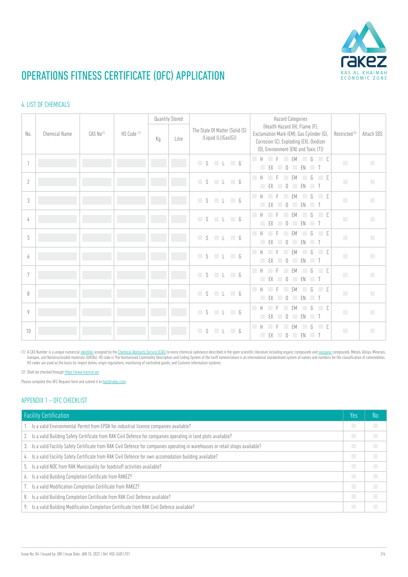

### 4. LIST OF CHEMICALS

|            |                      |                       |                        |    | Quantity Stored |                                                       | <b>Hazard Categories</b>                                                                                                                                      |                           |            |
|------------|----------------------|-----------------------|------------------------|----|-----------------|-------------------------------------------------------|---------------------------------------------------------------------------------------------------------------------------------------------------------------|---------------------------|------------|
| No.        | <b>Chemical Name</b> | CAS No <sup>(1)</sup> | HS Code <sup>(1)</sup> | Kg | Litre           | The State Of Matter (Solid (S)<br>/Liquid (L)/Gas(G)) | (Health Hazard (H), Flame (F),<br>Exclamation Mark (EM), Gas Cylinder (G),<br>Corrosion (C), Exploding (EX), Oxidizer<br>(0), Environment (EN) and Toxic (T)) | Restricted <sup>(2)</sup> | Attach SDS |
|            |                      |                       |                        |    |                 | $L \Box G$<br>S                                       | $-$ H<br>$\Box$<br>G<br>F<br><b>FM</b><br>$\mathbb{O}$<br>EX<br>EN<br>$\blacksquare$<br>n.<br>a a                                                             | П                         | П          |
| $\sqrt{2}$ |                      |                       |                        |    |                 | S L G                                                 | $-$ H<br>$\Box$ C<br>G<br><b>FM</b><br>$\begin{array}{c} \n\end{array}$<br>EN<br>$\blacksquare$<br>EX<br><b>COL</b>                                           | $\overline{\phantom{a}}$  | П          |
| 3          |                      |                       |                        |    |                 | $S \cup L \cup G$                                     | $-$ H<br>$\Box$<br>$\sqrt{ }$<br><b>EM</b><br>F<br>П<br>EX<br>$\mathbb{O}$<br>EN T<br>u.                                                                      | П                         | П          |
| 4          |                      |                       |                        |    |                 | $S \cup L \cup G$                                     | $-$ H<br>$\Box$ C<br>G<br><b>FM</b><br>F<br>EX<br>$\begin{array}{c} \n\end{array}$<br>EN<br>$\blacksquare$<br>a ka                                            | п                         | П          |
| 5          |                      |                       |                        |    |                 | S<br>$L \Box G$                                       | $-$ H<br>$\overline{C}$<br>$\sqrt{ }$<br><b>FM</b><br>F<br>EX 0<br><b>COL</b><br>EN<br>$\blacksquare$                                                         | П                         | П          |
| 6          |                      |                       |                        |    |                 | $L \Box G$<br>S                                       | <b>Tale</b><br>$\Box$ C<br>$\mathbb H$<br>G<br><b>FM</b><br>П<br>EX<br>$\bigcap$<br>EN<br>$\blacksquare$<br><b>College</b>                                    | п                         | П          |
| 7          |                      |                       |                        |    |                 | $S \cup L$ 6                                          | <b>Tale</b><br>$\Box$ C<br>H<br>G<br>FM<br>n.<br>$\bigcap$<br>EN<br>EX<br>$\blacksquare$                                                                      | П                         | П          |
| 8          |                      |                       |                        |    |                 | $S \cup L \cup G$                                     | <b>Tale</b><br>H<br>G<br>$\overline{C}$<br>FM<br>П<br>EX<br>$\bigcap$<br><b>FN</b><br>$\blacksquare$                                                          | П                         | П          |
| 9          |                      |                       |                        |    |                 | $L \Box G$<br>S                                       | п<br>H<br>G<br>$\overline{C}$<br><b>FM</b><br>Е<br><b>EX</b><br>$\bigcap$<br>EN<br>$\blacksquare$                                                             | П                         | П          |
| 10         |                      |                       |                        |    |                 | S<br>$L$ 6                                            | П<br>H<br>$\Box$ C<br><b>FM</b><br>G<br>m.<br>EX<br>$\mathbb{O}$<br>EN<br>$\blacksquare$                                                                      | $\overline{\phantom{a}}$  | <b>C</b>   |

(1) A CAS Number is a unique numerical <u>[identifier](https://en.wikipedia.org/wiki/Identifier)</u> assigned by the <u>Chemical Abstracts Service (CAS)</u> to every chemical substance described in the open scientific literature including organic compounds and <u>[inorganic](https://en.wikipedia.org/wiki/Inorganic_compound)</u> com Isotopes, and Nonstructurable materials (UVCBs). HS code is The Harmonised Commodity Description and Coding System of the tariff nomenclature is an international standardised system of names and numbers for the classificat HS codes are used as the basis for import duties, origin regulations, monitoring of controlled goods, and Customs information systems.

(2) Shall be checked through<https://www.hazmat.ae/>

Please complete this OFC Request form and submit it to [hse@rakez.com](mailto:hse%40rakez.com?subject=)

#### APPENDIX 1 – OFC CHECKLIST

| <b>Facility Certification</b>                                                                                                     | Yes | No |
|-----------------------------------------------------------------------------------------------------------------------------------|-----|----|
| 1. Is a valid Environmental Permit from EPDA for industrial licence companies available?                                          | П   | П  |
| 2. Is a valid Building Safety Certificate from RAK Civil Defence for companies operating in land plots available?                 | П   | П  |
| 3. Is a valid Facility Safety Certificate from RAK Civil Defence for companies operating in warehouses or retail shops available? | п   | П  |
| 4. Is a valid Facility Safety Certificate from RAK Civil Defence for own accomodation building available?                         | П   | П  |
| 5. Is a valid NOC from RAK Municipality for foodstuff activities available?                                                       | П   | П  |
| 6. Is a valid Building Completion Certificate from RAKEZ?                                                                         | П   | n  |
| 7. Is a valid Modification Completion Certificate from RAKEZ?                                                                     | П   | П  |
| 8. Is a valid Building Completion Certificate from RAK Civil Defence available?                                                   | П   | П  |
| 9. Is a valid Building Modification Completion Certificate from RAK Civil Defence available?                                      | П   | П  |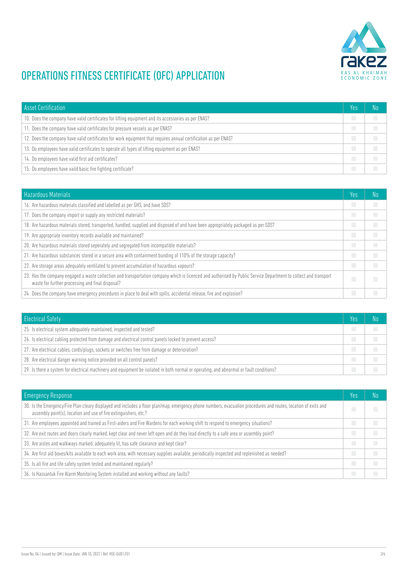

| <b>Asset Certification</b>                                                                                      | Yes | No |
|-----------------------------------------------------------------------------------------------------------------|-----|----|
| 10. Does the company have valid certificates for lifting equipment and its accessories as per ENAS?             | П   | П  |
| 11. Does the company have valid certificates for pressure vessels as per ENAS?                                  | П   | П  |
| 12. Does the company have valid certificates for work equipment that requires annual certification as per ENAS? | П   | П  |
| 13. Do employees have valid certificates to operate all types of lifting equipment as per ENAS?                 | П   | П  |
| 14. Do employees have valid first aid certificates?                                                             | П   | П  |
| 15. Do employees have vaild basic fire fighting certificate?                                                    | П   |    |

| <b>Hazardous Materials</b>                                                                                                                                                                                           | Yes            | No |
|----------------------------------------------------------------------------------------------------------------------------------------------------------------------------------------------------------------------|----------------|----|
| 16. Are hazardous materials classified and labelled as per GHS, and have SDS?                                                                                                                                        | n.             | П  |
| 17. Does the company import or supply any restricted materials?                                                                                                                                                      | П              | П  |
| 18. Are hazardous materials stored, transported, handled, supplied and disposed of and have been appropriately packaged as per SDS?                                                                                  | П              | П  |
| 19. Are appropriate inventory records available and maintained?                                                                                                                                                      | П              | П  |
| 20. Are hazardous materials stored seperately and segregated from incompatible materials?                                                                                                                            | П              | П  |
| 21. Are hazardous substances stored in a secure area with containment bunding of 110% of the storage capacity?                                                                                                       | П              | П  |
| 22. Are storage areas adequately ventilated to prevent accumulation of hazardous vapours?                                                                                                                            | n.             | П  |
| 23. Has the company engaged a waste collection and transportation company which is licenced and authorised by Public Service Department to collect and transport<br>waste for further processing and final disposal? | n.             | П  |
| 24. Does the company have emergency procedures in place to deal with spills, accidental release, fire and explosion?                                                                                                 | <b>College</b> |    |

| <b>Electrical Safety</b>                                                                                                                | Yes | No         |
|-----------------------------------------------------------------------------------------------------------------------------------------|-----|------------|
| 25. Is electrical system adequately maintained, inspected and tested?                                                                   |     | П          |
| 26. Is electrical cabling protected from damage and electrical control panels locked to prevent access?                                 | П   | <b>COL</b> |
| 27. Are electrical cables, cords/plugs, sockets or switches free from damage or deterioration?                                          | П   |            |
| 28. Are electrical danger warning notice provided on all control panels?                                                                | П   | <b>COL</b> |
| 29. Is there a system for electrical machinery and equipment be isolated in both normal or operating, and abnormal or fault conditions? |     |            |

| <b>Emergency Response</b>                                                                                                                                                                                                           | Yes | No |
|-------------------------------------------------------------------------------------------------------------------------------------------------------------------------------------------------------------------------------------|-----|----|
| 30. Is the Emergency/Fire Plan cleary displayed and includes a floor plan/map, emergency phone numbers, evacuation procedures and routes, location of exits and<br>assembly point(s), location and use of fire extinguishers, etc.? | n.  | п  |
| 31. Are employees appointed and trained as First-aiders and Fire Wardens for each working shift to respond to emergency situations?                                                                                                 | П   | П  |
| 32. Are exit routes and doors clearly marked, kept clear and never left open and do they lead directly to a safe area or assembly point?                                                                                            | П   | П  |
| 33. Are aisles and walkways marked, adequately lit, has safe clearance and kept clear?                                                                                                                                              | П   | П  |
| 34. Are first aid boxes/kits available to each work area, with necessary supplies available, periodically inspected and replenished as needed?                                                                                      | П   | П  |
| 35. Is all fire and life safety system tested and maintained regularly?                                                                                                                                                             | П   | П  |
| 36. Is Hassantuk Fire Alarm Monitoring System installed and working without any faults?                                                                                                                                             | П   | T. |